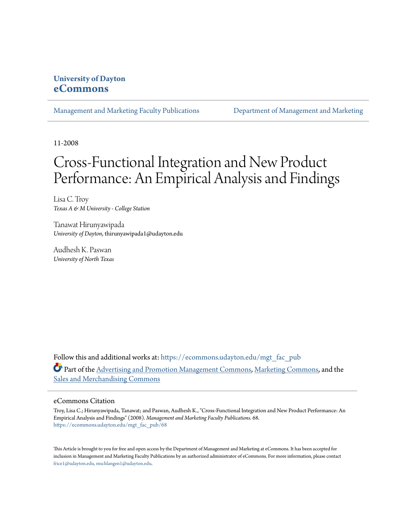## **University of Dayton [eCommons](https://ecommons.udayton.edu?utm_source=ecommons.udayton.edu%2Fmgt_fac_pub%2F68&utm_medium=PDF&utm_campaign=PDFCoverPages)**

[Management and Marketing Faculty Publications](https://ecommons.udayton.edu/mgt_fac_pub?utm_source=ecommons.udayton.edu%2Fmgt_fac_pub%2F68&utm_medium=PDF&utm_campaign=PDFCoverPages) [Department of Management and Marketing](https://ecommons.udayton.edu/mgt?utm_source=ecommons.udayton.edu%2Fmgt_fac_pub%2F68&utm_medium=PDF&utm_campaign=PDFCoverPages)

11-2008

## Cross-Functional Integration and New Product Performance: An Empirical Analysis and Findings

Lisa C. Troy *Texas A & M University - College Station*

Tanawat Hirunyawipada *University of Dayton*, thirunyawipada1@udayton.edu

Audhesh K. Paswan *University of North Texas*

Follow this and additional works at: [https://ecommons.udayton.edu/mgt\\_fac\\_pub](https://ecommons.udayton.edu/mgt_fac_pub?utm_source=ecommons.udayton.edu%2Fmgt_fac_pub%2F68&utm_medium=PDF&utm_campaign=PDFCoverPages) Part of the [Advertising and Promotion Management Commons,](http://network.bepress.com/hgg/discipline/626?utm_source=ecommons.udayton.edu%2Fmgt_fac_pub%2F68&utm_medium=PDF&utm_campaign=PDFCoverPages) [Marketing Commons,](http://network.bepress.com/hgg/discipline/638?utm_source=ecommons.udayton.edu%2Fmgt_fac_pub%2F68&utm_medium=PDF&utm_campaign=PDFCoverPages) and the [Sales and Merchandising Commons](http://network.bepress.com/hgg/discipline/646?utm_source=ecommons.udayton.edu%2Fmgt_fac_pub%2F68&utm_medium=PDF&utm_campaign=PDFCoverPages)

#### eCommons Citation

Troy, Lisa C.; Hirunyawipada, Tanawat; and Paswan, Audhesh K., "Cross-Functional Integration and New Product Performance: An Empirical Analysis and Findings" (2008). *Management and Marketing Faculty Publications*. 68. [https://ecommons.udayton.edu/mgt\\_fac\\_pub/68](https://ecommons.udayton.edu/mgt_fac_pub/68?utm_source=ecommons.udayton.edu%2Fmgt_fac_pub%2F68&utm_medium=PDF&utm_campaign=PDFCoverPages)

This Article is brought to you for free and open access by the Department of Management and Marketing at eCommons. It has been accepted for inclusion in Management and Marketing Faculty Publications by an authorized administrator of eCommons. For more information, please contact [frice1@udayton.edu, mschlangen1@udayton.edu.](mailto:frice1@udayton.edu,%20mschlangen1@udayton.edu)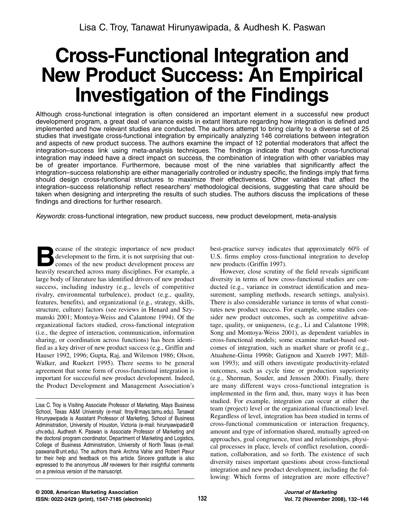# **Cross-Functional Integration and New Product Success: An Empirical Investigation of the Findings**

Although cross-functional integration is often considered an important element in a successful new product development program, a great deal of variance exists in extant literature regarding how integration is defined and implemented and how relevant studies are conducted. The authors attempt to bring clarity to a diverse set of 25 studies that investigate cross-functional integration by empirically analyzing 146 correlations between integration and aspects of new product success. The authors examine the impact of 12 potential moderators that affect the integration–success link using meta-analysis techniques. The findings indicate that though cross-functional integration may indeed have a direct impact on success, the combination of integration with other variables may be of greater importance. Furthermore, because most of the nine variables that significantly affect the integration–success relationship are either managerially controlled or industry specific, the findings imply that firms should design cross-functional structures to maximize their effectiveness. Other variables that affect the integration–success relationship reflect researchers' methodological decisions, suggesting that care should be taken when designing and interpreting the results of such studies. The authors discuss the implications of these findings and directions for further research.

Keywords: cross-functional integration, new product success, new product development, meta-analysis

ecause of the strategic importance of new product development to the firm, it is not surprising that outcomes of the new product development process are heavily researched across many disciplines. For example, a large body of literature has identified drivers of new product success, including industry (e.g., levels of competitive rivalry, environmental turbulence), product (e.g., quality, features, benefits), and organizational (e.g., strategy, skills, structure, culture) factors (see reviews in Henard and Szymanski 2001; Montoya-Weiss and Calantone 1994). Of the organizational factors studied, cross-functional integration (i.e., the degree of interaction, communication, information sharing, or coordination across functions) has been identified as a key driver of new product success (e.g., Griffin and Hauser 1992, 1996; Gupta, Raj, and Wilemon 1986; Olson, Walker, and Ruekert 1995). There seems to be general agreement that some form of cross-functional integration is important for successful new product development. Indeed, the Product Development and Management Association's

Lisa C. Troy is Visiting Associate Professor of Marketing, Mays Business School, Texas A&M University (e-mail: ltroy@mays.tamu.edu). Tanawat Hirunyawipada is Assistant Professor of Marketing, School of Business Administration, University of Houston, Victoria (e-mail: hirunyawipadat@ uhv.edu). Audhesh K. Paswan is Associate Professor of Marketing and the doctoral program coordinator, Department of Marketing and Logistics, College of Business Administration, University of North Texas (e-mail: paswana@unt.edu). The authors thank Archna Vahie and Robert Pavur for their help and feedback on this article. Sincere gratitude is also expressed to the anonymous JM reviewers for their insightful comments on a previous version of the manuscript.

best-practice survey indicates that approximately 60% of U.S. firms employ cross-functional integration to develop new products (Griffin 1997).

However, close scrutiny of the field reveals significant diversity in terms of how cross-functional studies are conducted (e.g., variance in construct identification and measurement, sampling methods, research settings, analysis). There is also considerable variance in terms of what constitutes new product success. For example, some studies consider new product outcomes, such as competitive advantage, quality, or uniqueness, (e.g., Li and Calantone 1998; Song and Montoya-Weiss 2001), as dependent variables in cross-functional models; some examine market-based outcomes of integration, such as market share or profit (e.g., Atuahene-Gima 1996b; Gatignon and Xuereb 1997; Millson 1993); and still others investigate productivity-related outcomes, such as cycle time or production superiority (e.g., Sherman, Souder, and Jenssen 2000). Finally, there are many different ways cross-functional integration is implemented in the firm and, thus, many ways it has been studied. For example, integration can occur at either the team (project) level or the organizational (functional) level. Regardless of level, integration has been studied in terms of cross-functional communication or interaction frequency, amount and type of information shared, mutually agreed-on approaches, goal congruence, trust and relationships, physical processes in place, levels of conflict resolution, coordination, collaboration, and so forth. The existence of such diversity raises important questions about cross-functional integration and new product development, including the following: Which forms of integration are more effective?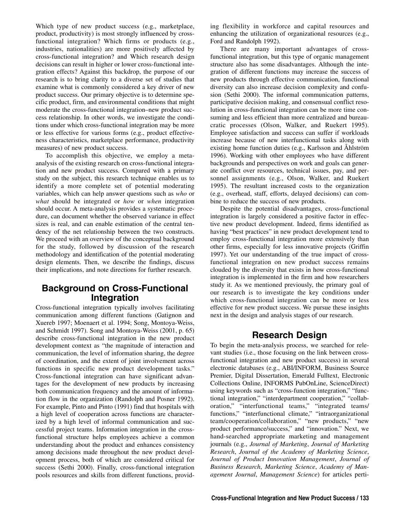Which type of new product success (e.g., marketplace, product, productivity) is most strongly influenced by crossfunctional integration? Which firms or products (e.g., industries, nationalities) are more positively affected by cross-functional integration? and Which research design decisions can result in higher or lower cross-functional integration effects? Against this backdrop, the purpose of our research is to bring clarity to a diverse set of studies that examine what is commonly considered a key driver of new product success. Our primary objective is to determine specific product, firm, and environmental conditions that might moderate the cross-functional integration–new product success relationship. In other words, we investigate the conditions under which cross-functional integration may be more or less effective for various forms (e.g., product effectiveness characteristics, marketplace performance, productivity measures) of new product success.

To accomplish this objective, we employ a metaanalysis of the existing research on cross-functional integration and new product success. Compared with a primary study on the subject, this research technique enables us to identify a more complete set of potential moderating variables, which can help answer questions such as *who* or *what* should be integrated or *how* or *when* integration should occur. A meta-analysis provides a systematic procedure, can document whether the observed variance in effect sizes is real, and can enable estimation of the central tendency of the net relationship between the two constructs. We proceed with an overview of the conceptual background for the study, followed by discussion of the research methodology and identification of the potential moderating design elements. Then, we describe the findings, discuss their implications, and note directions for further research.

## **Background on Cross-Functional Integration**

Cross-functional integration typically involves facilitating communication among different functions (Gatignon and Xuereb 1997; Moenaert et al. 1994; Song, Montoya-Weiss, and Schmidt 1997). Song and Montoya-Weiss (2001, p. 65) describe cross-functional integration in the new product development context as "the magnitude of interaction and communication, the level of information sharing, the degree of coordination, and the extent of joint involvement across functions in specific new product development tasks." Cross-functional integration can have significant advantages for the development of new products by increasing both communication frequency and the amount of information flow in the organization (Randolph and Posner 1992). For example, Pinto and Pinto (1991) find that hospitals with a high level of cooperation across functions are characterized by a high level of informal communication and successful project teams. Information integration in the crossfunctional structure helps employees achieve a common understanding about the product and enhances consistency among decisions made throughout the new product development process, both of which are considered critical for success (Sethi 2000). Finally, cross-functional integration pools resources and skills from different functions, provid-

ing flexibility in workforce and capital resources and enhancing the utilization of organizational resources (e.g., Ford and Randolph 1992).

There are many important advantages of crossfunctional integration, but this type of organic management structure also has some disadvantages. Although the integration of different functions may increase the success of new products through effective communication, functional diversity can also increase decision complexity and confusion (Sethi 2000). The informal communication patterns, participative decision making, and consensual conflict resolution in cross-functional integration can be more time consuming and less efficient than more centralized and bureaucratic processes (Olson, Walker, and Ruekert 1995). Employee satisfaction and success can suffer if workloads increase because of new interfunctional tasks along with existing home function duties (e.g., Karlsson and Åhlström 1996). Working with other employees who have different backgrounds and perspectives on work and goals can generate conflict over resources, technical issues, pay, and personnel assignments (e.g., Olson, Walker, and Ruekert 1995). The resultant increased costs to the organization (e.g., overhead, staff, efforts, delayed decisions) can combine to reduce the success of new products.

Despite the potential disadvantages, cross-functional integration is largely considered a positive factor in effective new product development. Indeed, firms identified as having "best practices" in new product development tend to employ cross-functional integration more extensively than other firms, especially for less innovative projects (Griffin 1997). Yet our understanding of the true impact of crossfunctional integration on new product success remains clouded by the diversity that exists in how cross-functional integration is implemented in the firm and how researchers study it. As we mentioned previously, the primary goal of our research is to investigate the key conditions under which cross-functional integration can be more or less effective for new product success. We pursue these insights next in the design and analysis stages of our research.

## **Research Design**

To begin the meta-analysis process, we searched for relevant studies (i.e., those focusing on the link between crossfunctional integration and new product success) in several electronic databases (e.g., ABI/INFORM, Business Source Premier, Digital Dissertation, Emerald Fulltext, Electronic Collections Online, INFORMS PubOnLine, ScienceDirect) using keywords such as "cross-function integration," "functional integration," "interdepartment cooperation," "collaboration," "interfunctional teams," "integrated teams/ functions," "interfunctional climate," "intraorganizational team/cooperation/collaboration," "new products," "new product performance/success," and "innovation." Next, we hand-searched appropriate marketing and management journals (e.g., *Journal of Marketing*, *Journal of Marketing Research*, *Journal of the Academy of Marketing Science*, *Journal of Product Innovation Management*, *Journal of Business Research*, *Marketing Science*, *Academy of Management Journal*, *Management Science*) for articles perti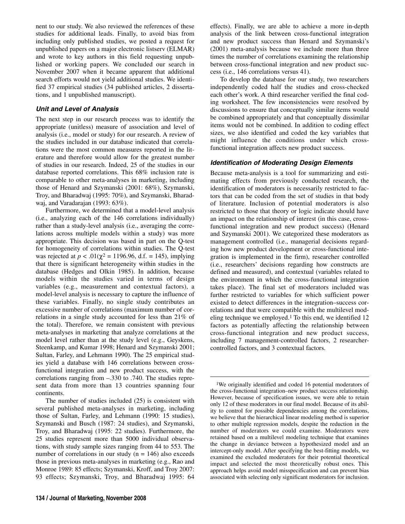nent to our study. We also reviewed the references of these studies for additional leads. Finally, to avoid bias from including only published studies, we posted a request for unpublished papers on a major electronic listserv (ELMAR) and wrote to key authors in this field requesting unpublished or working papers. We concluded our search in November 2007 when it became apparent that additional search efforts would not yield additional studies. We identified 37 empirical studies (34 published articles, 2 dissertations, and 1 unpublished manuscript).

#### **Unit and Level of Analysis**

The next step in our research process was to identify the appropriate (unitless) measure of association and level of analysis (i.e., model or study) for our research. A review of the studies included in our database indicated that correlations were the most common measures reported in the literature and therefore would allow for the greatest number of studies in our research. Indeed, 25 of the studies in our database reported correlations. This 68% inclusion rate is comparable to other meta-analyses in marketing, including those of Henard and Szymanski (2001: 68%), Szymanski, Troy, and Bharadwaj (1995: 70%), and Szymanski, Bharadwaj, and Varadarajan (1993: 63%).

Furthermore, we determined that a model-level analysis (i.e., analyzing each of the 146 correlations individually) rather than a study-level analysis (i.e., averaging the correlations across multiple models within a study) was more appropriate. This decision was based in part on the Q-test for homogeneity of correlations within studies. The Q-test was rejected at  $p < .01(\chi^2 = 1196.96, d.f. = 145)$ , implying that there is significant heterogeneity within studies in the database (Hedges and Olkin 1985). In addition, because models within the studies varied in terms of design variables (e.g., measurement and contextual factors), a model-level analysis is necessary to capture the influence of these variables. Finally, no single study contributes an excessive number of correlations (maximum number of correlations in a single study accounted for less than 21% of the total). Therefore, we remain consistent with previous meta-analyses in marketing that analyze correlations at the model level rather than at the study level (e.g., Geyskens, Steenkamp, and Kumar 1998; Henard and Szymanski 2001; Sultan, Farley, and Lehmann 1990). The 25 empirical studies yield a database with 146 correlations between crossfunctional integration and new product success, with the correlations ranging from –.330 to .740. The studies represent data from more than 13 countries spanning four continents.

The number of studies included (25) is consistent with several published meta-analyses in marketing, including those of Sultan, Farley, and Lehmann (1990: 15 studies), Szymanski and Busch (1987: 24 studies), and Szymanski, Troy, and Bharadwaj (1995: 22 studies). Furthermore, the 25 studies represent more than 5000 individual observations, with study sample sizes ranging from 44 to 553. The number of correlations in our study  $(n = 146)$  also exceeds those in previous meta-analyses in marketing (e.g., Rao and Monroe 1989: 85 effects; Szymanski, Kroff, and Troy 2007: 93 effects; Szymanski, Troy, and Bharadwaj 1995: 64 effects). Finally, we are able to achieve a more in-depth analysis of the link between cross-functional integration and new product success than Henard and Szymanski's (2001) meta-analysis because we include more than three times the number of correlations examining the relationship between cross-functional integration and new product success (i.e., 146 correlations versus 41).

To develop the database for our study, two researchers independently coded half the studies and cross-checked each other's work. A third researcher verified the final coding worksheet. The few inconsistencies were resolved by discussions to ensure that conceptually similar items would be combined appropriately and that conceptually dissimilar items would not be combined. In addition to coding effect sizes, we also identified and coded the key variables that might influence the conditions under which crossfunctional integration affects new product success.

#### **Identification of Moderating Design Elements**

Because meta-analysis is a tool for summarizing and estimating effects from previously conducted research, the identification of moderators is necessarily restricted to factors that can be coded from the set of studies in that body of literature. Inclusion of potential moderators is also restricted to those that theory or logic indicate should have an impact on the relationship of interest (in this case, crossfunctional integration and new product success) (Henard and Szymanski 2001). We categorized these moderators as management controlled (i.e., managerial decisions regarding how new product development or cross-functional integration is implemented in the firm), researcher controlled (i.e., researchers' decisions regarding how constructs are defined and measured), and contextual (variables related to the environment in which the cross-functional integration takes place). The final set of moderators included was further restricted to variables for which sufficient power existed to detect differences in the integration–success correlations and that were compatible with the multilevel modeling technique we employed.<sup>1</sup> To this end, we identified  $12$ factors as potentially affecting the relationship between cross-functional integration and new product success, including 7 management-controlled factors, 2 researchercontrolled factors, and 3 contextual factors.

<sup>1</sup>We originally identified and coded 16 potential moderators of the cross-functional integration–new product success relationship. However, because of specification issues, we were able to retain only 12 of these moderators in our final model. Because of its ability to control for possible dependencies among the correlations, we believe that the hierarchical linear modeling method is superior to other multiple regression models, despite the reduction in the number of moderators we could examine. Moderators were retained based on a multilevel modeling technique that examines the change in deviance between a hypothesized model and an intercept-only model. After specifying the best-fitting models, we examined the excluded moderators for their potential theoretical impact and selected the most theoretically robust ones. This approach helps avoid model misspecification and can prevent bias associated with selecting only significant moderators for inclusion.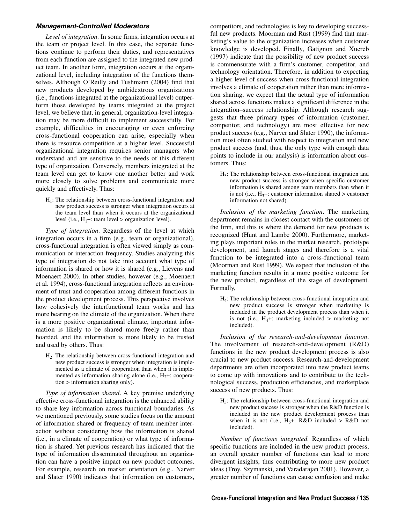#### **Management-Controlled Moderators**

*Level of integration*. In some firms, integration occurs at the team or project level. In this case, the separate functions continue to perform their duties, and representatives from each function are assigned to the integrated new product team. In another form, integration occurs at the organizational level, including integration of the functions themselves. Although O'Reilly and Tushmann (2004) find that new products developed by ambidextrous organizations (i.e., functions integrated at the organizational level) outperform those developed by teams integrated at the project level, we believe that, in general, organization-level integration may be more difficult to implement successfully. For example, difficulties in encouraging or even enforcing cross-functional cooperation can arise, especially when there is resource competition at a higher level. Successful organizational integration requires senior managers who understand and are sensitive to the needs of this different type of organization. Conversely, members integrated at the team level can get to know one another better and work more closely to solve problems and communicate more quickly and effectively. Thus:

 $H<sub>1</sub>$ : The relationship between cross-functional integration and new product success is stronger when integration occurs at the team level than when it occurs at the organizational level (i.e.,  $H_1 +$ : team level > organization level).

*Type of integration*. Regardless of the level at which integration occurs in a firm (e.g., team or organizational), cross-functional integration is often viewed simply as communication or interaction frequency. Studies analyzing this type of integration do not take into account what type of information is shared or how it is shared (e.g., Lievens and Moenaert 2000). In other studies, however (e.g., Moenaert et al. 1994), cross-functional integration reflects an environment of trust and cooperation among different functions in the product development process. This perspective involves how cohesively the interfunctional team works and has more bearing on the climate of the organization. When there is a more positive organizational climate, important information is likely to be shared more freely rather than hoarded, and the information is more likely to be trusted and used by others. Thus:

H<sub>2</sub>: The relationship between cross-functional integration and new product success is stronger when integration is implemented as a climate of cooperation than when it is implemented as information sharing alone (i.e.,  $H_2$ +: cooperation > information sharing only).

*Type of information shared*. A key premise underlying effective cross-functional integration is the enhanced ability to share key information across functional boundaries. As we mentioned previously, some studies focus on the amount of information shared or frequency of team member interaction without considering how the information is shared (i.e., in a climate of cooperation) or what type of information is shared. Yet previous research has indicated that the type of information disseminated throughout an organization can have a positive impact on new product outcomes. For example, research on market orientation (e.g., Narver and Slater 1990) indicates that information on customers,

competitors, and technologies is key to developing successful new products. Moorman and Rust (1999) find that marketing's value to the organization increases when customer knowledge is developed. Finally, Gatignon and Xuereb (1997) indicate that the possibility of new product success is commensurate with a firm's customer, competitor, and technology orientation. Therefore, in addition to expecting a higher level of success when cross-functional integration involves a climate of cooperation rather than mere information sharing, we expect that the actual type of information shared across functions makes a significant difference in the integration–success relationship. Although research suggests that three primary types of information (customer, competitor, and technology) are most effective for new product success (e.g., Narver and Slater 1990), the information most often studied with respect to integration and new product success (and, thus, the only type with enough data points to include in our analysis) is information about customers. Thus:

H3: The relationship between cross-functional integration and new product success is stronger when specific customer information is shared among team members than when it is not (i.e.,  $H_3$ +: customer information shared > customer information not shared).

*Inclusion of the marketing function*. The marketing department remains in closest contact with the customers of the firm, and this is where the demand for new products is recognized (Hunt and Lambe 2000). Furthermore, marketing plays important roles in the market research, prototype development, and launch stages and therefore is a vital function to be integrated into a cross-functional team (Moorman and Rust 1999). We expect that inclusion of the marketing function results in a more positive outcome for the new product, regardless of the stage of development. Formally,

H4: The relationship between cross-functional integration and new product success is stronger when marketing is included in the product development process than when it is not (i.e.,  $H_4$ +: marketing included > marketing not included).

*Inclusion of the research-and-development function*. The involvement of research-and-development (R&D) functions in the new product development process is also crucial to new product success. Research-and-development departments are often incorporated into new product teams to come up with innovations and to contribute to the technological success, production efficiencies, and marketplace success of new products. Thus:

H5: The relationship between cross-functional integration and new product success is stronger when the R&D function is included in the new product development process than when it is not (i.e.,  $H_5$ +: R&D included > R&D not included).

*Number of functions integrated*. Regardless of which specific functions are included in the new product process, an overall greater number of functions can lead to more divergent insights, thus contributing to more new product ideas (Troy, Szymanski, and Varadarajan 2001). However, a greater number of functions can cause confusion and make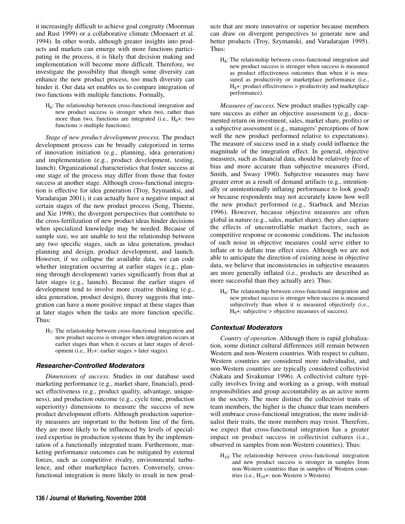it increasingly difficult to achieve goal congruity (Moorman and Rust 1999) or a collaborative climate (Moenaert et al. 1994). In other words, although greater insights into products and markets can emerge with more functions participating in the process, it is likely that decision making and implementation will become more difficult. Therefore, we investigate the possibility that though some diversity can enhance the new product process, too much diversity can hinder it. Our data set enables us to compare integration of two functions with multiple functions. Formally,

 $H_6$ : The relationship between cross-functional integration and new product success is stronger when two, rather than more than two, functions are integrated (i.e.,  $H_6$ +: two functions > multiple functions).

*Stage of new product development process*. The product development process can be broadly categorized in terms of innovation initiation (e.g., planning, idea generation) and implementation (e.g., product development, testing, launch). Organizational characteristics that foster success at one stage of the process may differ from those that foster success at another stage. Although cross-functional integration is effective for idea generation (Troy, Szymanksi, and Varadarajan 2001), it can actually have a negative impact at certain stages of the new product process (Song, Thieme, and Xie 1998); the divergent perspectives that contribute to the cross-fertilization of new product ideas hinder decisions when specialized knowledge may be needed. Because of sample size, we are unable to test the relationship between any two specific stages, such as idea generation, product planning and design, product development, and launch. However, if we collapse the available data, we can code whether integration occurring at earlier stages (e.g., planning through development) varies significantly from that at later stages (e.g., launch). Because the earlier stages of development tend to involve more creative thinking (e.g., idea generation, product design), theory suggests that integration can have a more positive impact at these stages than at later stages when the tasks are more function specific. Thus:

H7: The relationship between cross-functional integration and new product success is stronger when integration occurs at earlier stages than when it occurs at later stages of development (i.e.,  $H_7$ +: earlier stages > later stages).

#### **Researcher-Controlled Moderators**

*Dimensions of success*. Studies in our database used marketing performance (e.g., market share, financial), product effectiveness (e.g., product quality, advantage, uniqueness), and production outcome (e.g., cycle time, production superiority) dimensions to measure the success of new product development efforts. Although production superiority measures are important to the bottom line of the firm, they are more likely to be influenced by levels of specialized expertise in production systems than by the implementation of a functionally integrated team. Furthermore, marketing performance outcomes can be mitigated by external forces, such as competitive rivalry, environmental turbulence, and other marketplace factors. Conversely, crossfunctional integration is more likely to result in new products that are more innovative or superior because members can draw on divergent perspectives to generate new and better products (Troy, Szymanski, and Varadarajan 1995). Thus:

 $H_8$ : The relationship between cross-functional integration and new product success is stronger when success is measured as product effectiveness outcomes than when it is measured as productivity or marketplace performance (i.e.,  $H_8$ +: product effectiveness > productivity and marketplace performance).

*Measures of success*. New product studies typically capture success as either an objective assessment (e.g., documented return on investment, sales, market share, profits) or a subjective assessment (e.g., managers' perceptions of how well the new product performed relative to expectations). The measure of success used in a study could influence the magnitude of the integration effect. In general, objective measures, such as financial data, should be relatively free of bias and more accurate than subjective measures (Ford, Smith, and Swasy 1990). Subjective measures may have greater error as a result of demand artifacts (e.g., intentionally or unintentionally inflating performance to look good) or because respondents may not accurately know how well the new product performed (e.g., Starbuck and Mezias 1996). However, because objective measures are often global in nature (e.g., sales, market share), they also capture the effects of uncontrollable market factors, such as competitive response or economic conditions. The inclusion of such noise in objective measures could serve either to inflate or to deflate true effect sizes. Although we are not able to anticipate the direction of existing noise in objective data, we believe that inconsistencies in subjective measures are more generally inflated (i.e., products are described as more successful than they actually are). Thus:

H9: The relationship between cross-functional integration and new product success is stronger when success is measured subjectively than when it is measured objectively (i.e.,  $H<sub>9</sub>$  : subjective > objective measures of success).

#### **Contextual Moderators**

*Country of operation*. Although there is rapid globalization, some distinct cultural differences still remain between Western and non-Western countries. With respect to culture, Western countries are considered more individualist, and non-Western countries are typically considered collectivist (Nakata and Sivakumar 1996). A collectivist culture typically involves living and working as a group, with mutual responsibilities and group accountability as an active norm in the society. The more distinct the collectivist traits of team members, the higher is the chance that team members will embrace cross-functional integration; the more individualist their traits, the more members may resist. Therefore, we expect that cross-functional integration has a greater impact on product success in collectivist cultures (i.e., observed in samples from non-Western countries). Thus:

 $H_{10}$ : The relationship between cross-functional integration and new product success is stronger in samples from non-Western countries than in samples of Western countries (i.e.,  $H_{10}$ +: non-Western > Western).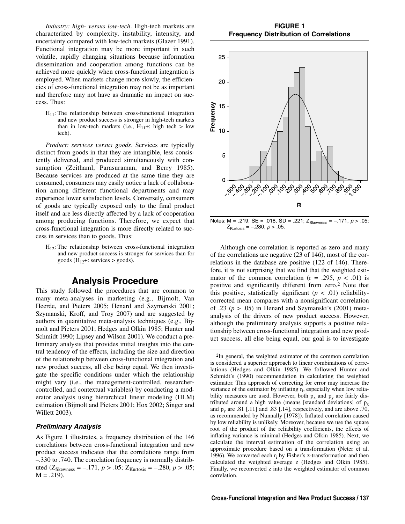*Industry: high- versus low-tech*. High-tech markets are characterized by complexity, instability, intensity, and uncertainty compared with low-tech markets (Glazer 1991). Functional integration may be more important in such volatile, rapidly changing situations because information dissemination and cooperation among functions can be achieved more quickly when cross-functional integration is employed. When markets change more slowly, the efficiencies of cross-functional integration may not be as important and therefore may not have as dramatic an impact on success. Thus:

 $H_{11}$ : The relationship between cross-functional integration and new product success is stronger in high-tech markets than in low-tech markets (i.e.,  $H_{11}$ +: high tech > low tech).

*Product: services versus goods*. Services are typically distinct from goods in that they are intangible, less consistently delivered, and produced simultaneously with consumption (Zeithaml, Parasuraman, and Berry 1985). Because services are produced at the same time they are consumed, consumers may easily notice a lack of collaboration among different functional departments and may experience lower satisfaction levels. Conversely, consumers of goods are typically exposed only to the final product itself and are less directly affected by a lack of cooperation among producing functions. Therefore, we expect that cross-functional integration is more directly related to success in services than to goods. Thus:

 $H_{12}$ : The relationship between cross-functional integration and new product success is stronger for services than for goods  $(H_{12}+:$  services  $>$  goods).

## **Analysis Procedure**

This study followed the procedures that are common to many meta-analyses in marketing (e.g., Bijmolt, Van Heerde, and Pieters 2005; Henard and Szymanski 2001; Szymanski, Kroff, and Troy 2007) and are suggested by authors in quantitative meta-analysis techniques (e.g., Bijmolt and Pieters 2001; Hedges and Olkin 1985; Hunter and Schmidt 1990; Lipsey and Wilson 2001). We conduct a preliminary analysis that provides initial insights into the central tendency of the effects, including the size and direction of the relationship between cross-functional integration and new product success, all else being equal. We then investigate the specific conditions under which the relationship might vary (i.e., the management-controlled, researchercontrolled, and contextual variables) by conducting a moderator analysis using hierarchical linear modeling (HLM) estimation (Bijmolt and Pieters 2001; Hox 2002; Singer and Willett 2003).

#### **Preliminary Analysis**

As Figure 1 illustrates, a frequency distribution of the 146 correlations between cross-functional integration and new product success indicates that the correlations range from –.330 to .740. The correlation frequency is normally distributed ( $Z_{\text{Skewness}} = -.171, p > .05; Z_{\text{Kurtosis}} = -.280, p > .05;$  $M = .219$ ).

**FIGURE 1 Frequency Distribution of Correlations**



Notes:  $M = .219$ ,  $SE = .018$ ,  $SD = .221$ ;  $Z_{Skewness} = -.171$ ,  $p > .05$ ;  $Z_{Kurtosis} = -.280, p > .05.$ 

Although one correlation is reported as zero and many of the correlations are negative (23 of 146), most of the correlations in the database are positive (122 of 146). Therefore, it is not surprising that we find that the weighted estimator of the common correlation  $(\bar{r} = .295, p < .01)$  is positive and significantly different from zero.2 Note that this positive, statistically significant  $(p < .01)$  reliabilitycorrected mean compares with a nonsignificant correlation of .23 (*p* > .05) in Henard and Szymanski's (2001) metaanalysis of the drivers of new product success. However, although the preliminary analysis supports a positive relationship between cross-functional integration and new product success, all else being equal, our goal is to investigate

2In general, the weighted estimator of the common correlation is considered a superior approach to linear combinations of correlations (Hedges and Olkin 1985). We followed Hunter and Schmidt's (1990) recommendation in calculating the weighted estimator. This approach of correcting for error may increase the variance of the estimator by inflating  $r_i$ , especially when low reliability measures are used. However, both  $p_x$  and  $p_y$  are fairly distributed around a high value (means [standard deviations] of  $p_x$ and  $p_y$  are .81 [.11] and .83 [.14], respectively, and are above .70, as recommended by Nunnally [1978]). Inflated correlation caused by low reliability is unlikely. Moreover, because we use the square root of the product of the reliability coefficients, the effects of inflating variance is minimal (Hedges and Olkin 1985). Next, we calculate the interval estimation of the correlation using an approximate procedure based on a transformation (Neter et al. 1996). We converted each  $r_i$  by Fisher's z-transformation and then calculated the weighted average z (Hedges and Olkin 1985). Finally, we reconverted z into the weighted estimator of common correlation.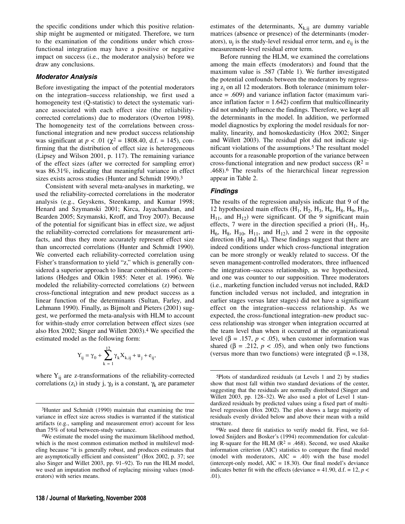the specific conditions under which this positive relationship might be augmented or mitigated. Therefore, we turn to the examination of the conditions under which crossfunctional integration may have a positive or negative impact on success (i.e., the moderator analysis) before we draw any conclusions.

#### **Moderator Analysis**

Before investigating the impact of the potential moderators on the integration–success relationship, we first used a homogeneity test (Q-statistic) to detect the systematic variance associated with each effect size (the reliabilitycorrected correlations) due to moderators (Overton 1998). The homogeneity test of the correlations between crossfunctional integration and new product success relationship was significant at  $p < .01$  ( $\chi^2 = 1808.40$ , d.f. = 145), confirming that the distribution of effect size is heterogeneous (Lipsey and Wilson 2001, p. 117). The remaining variance of the effect sizes (after we corrected for sampling error) was 86.31%, indicating that meaningful variance in effect sizes exists across studies (Hunter and Schmidt 1990).3

Consistent with several meta-analyses in marketing, we used the reliability-corrected correlations in the moderator analysis (e.g., Geyskens, Steenkamp, and Kumar 1998; Henard and Szymanski 2001; Kirca, Jayachandran, and Bearden 2005; Szymanski, Kroff, and Troy 2007). Because of the potential for significant bias in effect size, we adjust the reliability-corrected correlations for measurement artifacts, and thus they more accurately represent effect size than uncorrected correlations (Hunter and Schmidt 1990). We converted each reliability-corrected correlation using Fisher's transformation to yield "z," which is generally considered a superior approach to linear combinations of correlations (Hedges and Olkin 1985: Neter et al. 1996). We modeled the reliability-corrected correlations (z) between cross-functional integration and new product success as a linear function of the determinants (Sultan, Farley, and Lehmann 1990). Finally, as Bijmolt and Pieters (2001) suggest, we performed the meta-analysis with HLM to account for within-study error correlation between effect sizes (see also Hox 2002; Singer and Willett 2003).4 We specified the estimated model as the following form:

$$
Y_{ij} = \gamma_0 + \sum_{k=1}^{12} \gamma_k X_{k,ij} + u_j + e_{ij},
$$

where  $Y_{ij}$  are z-transformations of the reliability-corrected correlations  $(z_i)$  in study j,  $\gamma_0$  is a constant,  $\gamma_k$  are parameter

Before running the HLM, we examined the correlations among the main effects (moderators) and found that the maximum value is .587 (Table 1). We further investigated the potential confounds between the moderators by regressing  $z_i$  on all 12 moderators. Both tolerance (minimum tolerance = .609) and variance inflation factor (maximum variance inflation factor  $= 1.642$ ) confirm that multicollinearity did not unduly influence the findings. Therefore, we kept all the determinants in the model. In addition, we performed model diagnostics by exploring the model residuals for normality, linearity, and homoskedasticity (Hox 2002; Singer and Willett 2003). The residual plot did not indicate significant violations of the assumptions.<sup>5</sup> The resultant model accounts for a reasonable proportion of the variance between cross-functional integration and new product success ( $R^2$  = .468).6 The results of the hierarchical linear regression appear in Table 2.

#### **Findings**

The results of the regression analysis indicate that 9 of the 12 hypothesized main effects  $(H_1, H_2, H_3, H_6, H_8, H_9, H_{10},$  $H_{11}$ , and  $H_{12}$ ) were significant. Of the 9 significant main effects, 7 were in the direction specified a priori  $(H_1, H_3,$  $H_6$ ,  $H_8$ ,  $H_{10}$ ,  $H_{11}$ , and  $H_{12}$ ), and 2 were in the opposite direction  $(H_2 \text{ and } H_9)$ . These findings suggest that there are indeed conditions under which cross-functional integration can be more strongly or weakly related to success. Of the seven management-controlled moderators, three influenced the integration–success relationship, as we hypothesized, and one was counter to our supposition. Three moderators (i.e., marketing function included versus not included, R&D function included versus not included, and integration in earlier stages versus later stages) did not have a significant effect on the integration–success relationship. As we expected, the cross-functional integration–new product success relationship was stronger when integration occurred at the team level than when it occurred at the organizational level (β = .157,  $p < .05$ ), when customer information was shared ( $\beta$  = .212,  $p < .05$ ), and when only two functions (versus more than two functions) were integrated ( $\beta = 138$ ,

<sup>3</sup>Hunter and Schmidt (1990) maintain that examining the true variance in effect size across studies is warranted if the statistical artifacts (e.g., sampling and measurement error) account for less than 75% of total between-study variance.

<sup>4</sup>We estimate the model using the maximum likelihood method, which is the most common estimation method in multilevel modeling because "it is generally robust, and produces estimates that are asymptotically efficient and consistent" (Hox 2002, p. 37; see also Singer and Willet 2003, pp. 91–92). To run the HLM model, we used an imputation method of replacing missing values (moderators) with series means.

<sup>5</sup>Plots of standardized residuals (at Levels 1 and 2) by studies show that most fall within two standard deviations of the center, suggesting that the residuals are normally distributed (Singer and Willett 2003, pp. 128–32). We also used a plot of Level 1 standardized residuals by predicted values using a fixed part of multilevel regression (Hox 2002). The plot shows a large majority of residuals evenly divided below and above their mean with a mild structure.

<sup>6</sup>We used three fit statistics to verify model fit. First, we followed Snijders and Bosker's (1994) recommendation for calculating R-square for the HLM ( $R^2 = .468$ ). Second, we used Akaike information criterion (AIC) statistics to compare the final model (model with moderators, AIC = .40) with the base model (intercept-only model, AIC = 18.30). Our final model's deviance indicates better fit with the effects (deviance  $= 41.90$ , d.f.  $= 12$ ,  $p <$ .01).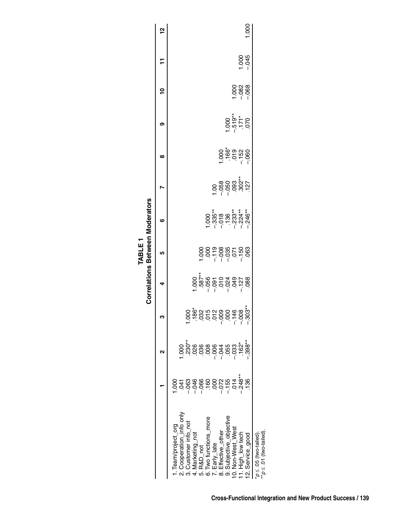|                                                                                                                                         |             |                                                                          |   |   | TABLE 1   | <b>Correlations Between Moderators</b> |   |                                           |                    |            |          |
|-----------------------------------------------------------------------------------------------------------------------------------------|-------------|--------------------------------------------------------------------------|---|---|-----------|----------------------------------------|---|-------------------------------------------|--------------------|------------|----------|
|                                                                                                                                         |             | ິ                                                                        | ო | 4 | <u>၊ </u> | ဖ                                      | ထ | ග                                         | $\frac{1}{2}$      | F          | <u>인</u> |
| 2. Cooperation_info only<br>Team/project_org                                                                                            | 000<br>.041 |                                                                          |   |   |           |                                        |   |                                           |                    |            |          |
| 3. Customer info_not                                                                                                                    |             | ី<br>១ និង មិន ទី ទី ទី ទី ទី ទី ទី ទី<br>១ និង មិន ទី ទី ទី ទី ទី ទី ទី |   |   |           |                                        |   |                                           |                    |            |          |
| 4. Marketing_not                                                                                                                        |             |                                                                          |   |   |           |                                        |   |                                           |                    |            |          |
|                                                                                                                                         |             |                                                                          |   |   |           |                                        |   |                                           |                    |            |          |
|                                                                                                                                         |             |                                                                          |   |   |           |                                        |   |                                           |                    |            |          |
|                                                                                                                                         |             |                                                                          |   |   |           |                                        |   |                                           |                    |            |          |
|                                                                                                                                         |             |                                                                          |   |   |           |                                        |   |                                           |                    |            |          |
| 5. R&D_not <sup>-</sup><br>6. Two functions_more<br>7. Early_late<br>8. Effective_other<br>9. Subjective_objective<br>10. Non-West_West |             |                                                                          |   |   |           |                                        |   |                                           |                    |            |          |
|                                                                                                                                         |             |                                                                          |   |   |           |                                        |   |                                           |                    |            |          |
| 1. High_low tech                                                                                                                        |             |                                                                          |   |   |           |                                        |   | $1.000$<br>$-517 + 0.00$<br>$-171 + 0.00$ | $\frac{888}{1000}$ | $-000 - 1$ |          |
| 2. Service_good                                                                                                                         | 136         | $.398**$                                                                 |   |   |           |                                        |   |                                           |                    |            | 0001     |
| $p \le .05$ (two-tailed)                                                                                                                |             |                                                                          |   |   |           |                                        |   |                                           |                    |            |          |
| $p \leq .01$ (two-tailed).                                                                                                              |             |                                                                          |   |   |           |                                        |   |                                           |                    |            |          |
|                                                                                                                                         |             |                                                                          |   |   |           |                                        |   |                                           |                    |            |          |
|                                                                                                                                         |             |                                                                          |   |   |           |                                        |   |                                           |                    |            |          |
|                                                                                                                                         |             |                                                                          |   |   |           |                                        |   |                                           |                    |            |          |
|                                                                                                                                         |             |                                                                          |   |   |           |                                        |   |                                           |                    |            |          |

| ш<br>TABL | à<br>ā<br>Retw<br>ns. |
|-----------|-----------------------|
|           |                       |

**Cross-Functional Integration and New Product Success / 139**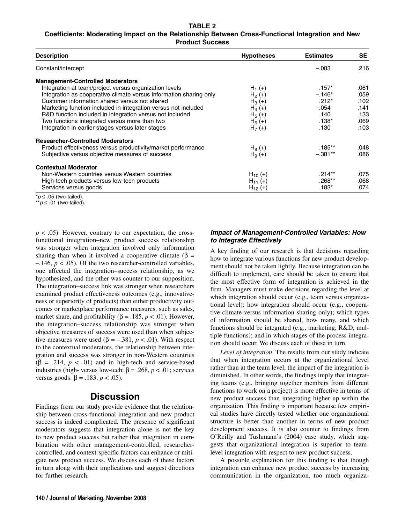#### **TABLE 2 Coefficients: Moderating Impact on the Relationship Between Cross-Functional Integration and New Product Success**

| <b>Description</b>                                                 | <b>Hypotheses</b> | <b>Estimates</b> | <b>SE</b> |
|--------------------------------------------------------------------|-------------------|------------------|-----------|
| Constant/intercept                                                 |                   | $-.083$          | .216      |
| <b>Management-Controlled Moderators</b>                            |                   |                  |           |
| Integration at team/project versus organization levels             | $H_1 (+)$         | $.157*$          | .061      |
| Integration as cooperative climate versus information sharing only | $H_2(+)$          | $-.146*$         | .059      |
| Customer information shared versus not shared                      | $H_3(+)$          | $.212*$          | .102      |
| Marketing function included in integration versus not included     | $H_4(+)$          | $-.054$          | .141      |
| R&D function included in integration versus not included           | $H_5(+)$          | .140             | .133      |
| Two functions integrated versus more than two                      | $H_6(+)$          | .138*            | .069      |
| Integration in earlier stages versus later stages                  | $H_7(+)$          | .130             | .103      |
| <b>Researcher-Controlled Moderators</b>                            |                   |                  |           |
| Product effectiveness versus productivity/market performance       | $H_8(+)$          | $.185**$         | .048      |
| Subjective versus objective measures of success                    | $H_9(+)$          | $-.381**$        | .086      |
| <b>Contextual Moderator</b>                                        |                   |                  |           |
| Non-Western countries versus Western countries                     | $H_{10}(+)$       | $.214**$         | .075      |
| High-tech products versus low-tech products                        | $H_{11}(+)$       | $.268**$         | .068      |
| Services versus goods                                              | $H_{12}(+)$       | .183*            | .074      |

 $p \leq .05$  (two-tailed).

 $*p \leq .01$  (two-tailed).

 $p < .05$ ). However, contrary to our expectation, the crossfunctional integration–new product success relationship was stronger when integration involved only information sharing than when it involved a cooperative climate ( $\beta$  =  $-146$ ,  $p < .05$ ). Of the two researcher-controlled variables, one affected the integration–success relationship, as we hypothesized, and the other was counter to our supposition. The integration–success link was stronger when researchers examined product effectiveness outcomes (e.g., innovativeness or superiority of products) than either productivity outcomes or marketplace performance measures, such as sales, market share, and profitability ( $\beta$  = .185,  $p$  < .01). However, the integration–success relationship was stronger when objective measures of success were used than when subjective measures were used ( $\beta = -.381, p < .01$ ). With respect to the contextual moderators, the relationship between integration and success was stronger in non-Western countries (β = .214, *p* < .01) and in high-tech and service-based industries (high- versus low-tech: β = .268, *p* < .01; services versus goods:  $β = .183, p < .05$ ).

## **Discussion**

Findings from our study provide evidence that the relationship between cross-functional integration and new product success is indeed complicated. The presence of significant moderators suggests that integration alone is not the key to new product success but rather that integration in combination with other management-controlled, researchercontrolled, and context-specific factors can enhance or mitigate new product success. We discuss each of these factors in turn along with their implications and suggest directions for further research.

#### **Impact of Management-Controlled Variables: How to Integrate Effectively**

A key finding of our research is that decisions regarding how to integrate various functions for new product development should not be taken lightly. Because integration can be difficult to implement, care should be taken to ensure that the most effective form of integration is achieved in the firm. Managers must make decisions regarding the level at which integration should occur (e.g., team versus organizational level); how integration should occur (e.g., cooperative climate versus information sharing only); which types of information should be shared, how many, and which functions should be integrated (e.g., marketing, R&D, multiple functions); and in which stages of the process integration should occur. We discuss each of these in turn.

*Level of integration*. The results from our study indicate that when integration occurs at the organizational level rather than at the team level, the impact of the integration is diminished. In other words, the findings imply that integrating teams (e.g., bringing together members from different functions to work on a project) is more effective in terms of new product success than integrating higher up within the organization. This finding is important because few empirical studies have directly tested whether one organizational structure is better than another in terms of new product development success. It is also counter to findings from O'Reilly and Tushmann's (2004) case study, which suggests that organizational integration is superior to teamlevel integration with respect to new product success.

A possible explanation for this finding is that though integration can enhance new product success by increasing communication in the organization, too much organiza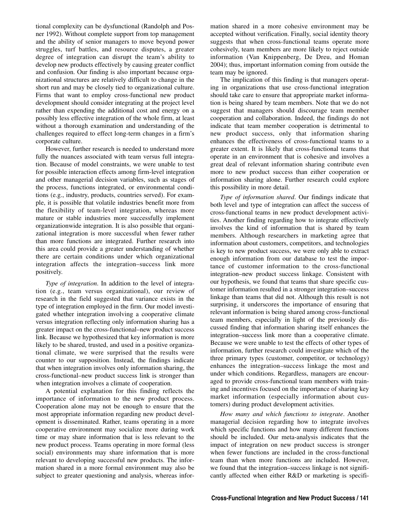tional complexity can be dysfunctional (Randolph and Posner 1992). Without complete support from top management and the ability of senior managers to move beyond power struggles, turf battles, and resource disputes, a greater degree of integration can disrupt the team's ability to develop new products effectively by causing greater conflict and confusion. Our finding is also important because organizational structures are relatively difficult to change in the short run and may be closely tied to organizational culture. Firms that want to employ cross-functional new product development should consider integrating at the project level rather than expending the additional cost and energy on a possibly less effective integration of the whole firm, at least without a thorough examination and understanding of the challenges required to effect long-term changes in a firm's corporate culture.

However, further research is needed to understand more fully the nuances associated with team versus full integration. Because of model constraints, we were unable to test for possible interaction effects among firm-level integration and other managerial decision variables, such as stages of the process, functions integrated, or environmental conditions (e.g., industry, products, countries served). For example, it is possible that volatile industries benefit more from the flexibility of team-level integration, whereas more mature or stable industries more successfully implement organizationwide integration. It is also possible that organizational integration is more successful when fewer rather than more functions are integrated. Further research into this area could provide a greater understanding of whether there are certain conditions under which organizational integration affects the integration–success link more positively.

*Type of integration*. In addition to the level of integration (e.g., team versus organizational), our review of research in the field suggested that variance exists in the type of integration employed in the firm. Our model investigated whether integration involving a cooperative climate versus integration reflecting only information sharing has a greater impact on the cross-functional–new product success link. Because we hypothesized that key information is more likely to be shared, trusted, and used in a positive organizational climate, we were surprised that the results were counter to our supposition. Instead, the findings indicate that when integration involves only information sharing, the cross-functional–new product success link is stronger than when integration involves a climate of cooperation.

A potential explanation for this finding reflects the importance of information to the new product process. Cooperation alone may not be enough to ensure that the most appropriate information regarding new product development is disseminated. Rather, teams operating in a more cooperative environment may socialize more during work time or may share information that is less relevant to the new product process. Teams operating in more formal (less social) environments may share information that is more relevant to developing successful new products. The information shared in a more formal environment may also be subject to greater questioning and analysis, whereas information shared in a more cohesive environment may be accepted without verification. Finally, social identity theory suggests that when cross-functional teams operate more cohesively, team members are more likely to reject outside information (Van Knippenberg, De Dreu, and Homan 2004); thus, important information coming from outside the team may be ignored.

The implication of this finding is that managers operating in organizations that use cross-functional integration should take care to ensure that appropriate market information is being shared by team members. Note that we do not suggest that managers should discourage team member cooperation and collaboration. Indeed, the findings do not indicate that team member cooperation is detrimental to new product success, only that information sharing enhances the effectiveness of cross-functional teams to a greater extent. It is likely that cross-functional teams that operate in an environment that is cohesive and involves a great deal of relevant information sharing contribute even more to new product success than either cooperation or information sharing alone. Further research could explore this possibility in more detail.

*Type of information shared*. Our findings indicate that both level and type of integration can affect the success of cross-functional teams in new product development activities. Another finding regarding how to integrate effectively involves the kind of information that is shared by team members. Although researchers in marketing agree that information about customers, competitors, and technologies is key to new product success, we were only able to extract enough information from our database to test the importance of customer information to the cross-functional integration–new product success linkage. Consistent with our hypothesis, we found that teams that share specific customer information resulted in a stronger integration–success linkage than teams that did not. Although this result is not surprising, it underscores the importance of ensuring that relevant information is being shared among cross-functional team members, especially in light of the previously discussed finding that information sharing itself enhances the integration–success link more than a cooperative climate. Because we were unable to test the effects of other types of information, further research could investigate which of the three primary types (customer, competitor, or technology) enhances the integration–success linkage the most and under which conditions. Regardless, managers are encouraged to provide cross-functional team members with training and incentives focused on the importance of sharing key market information (especially information about customers) during product development activities.

*How many and which functions to integrate*. Another managerial decision regarding how to integrate involves which specific functions and how many different functions should be included. Our meta-analysis indicates that the impact of integration on new product success is stronger when fewer functions are included in the cross-functional team than when more functions are included. However, we found that the integration–success linkage is not significantly affected when either R&D or marketing is specifi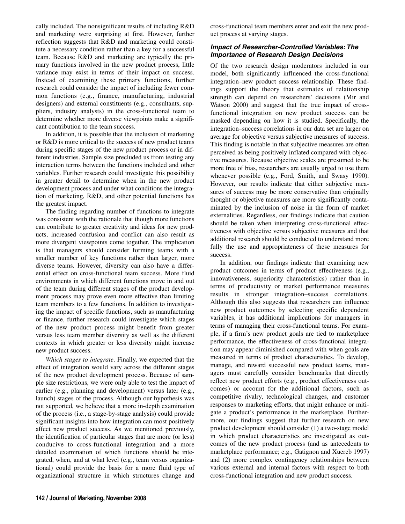cally included. The nonsignificant results of including R&D and marketing were surprising at first. However, further reflection suggests that R&D and marketing could constitute a necessary condition rather than a key for a successful team. Because R&D and marketing are typically the primary functions involved in the new product process, little variance may exist in terms of their impact on success. Instead of examining these primary functions, further research could consider the impact of including fewer common functions (e.g., finance, manufacturing, industrial designers) and external constituents (e.g., consultants, suppliers, industry analysts) in the cross-functional team to determine whether more diverse viewpoints make a significant contribution to the team success.

In addition, it is possible that the inclusion of marketing or R&D is more critical to the success of new product teams during specific stages of the new product process or in different industries. Sample size precluded us from testing any interaction terms between the functions included and other variables. Further research could investigate this possibility in greater detail to determine when in the new product development process and under what conditions the integration of marketing, R&D, and other potential functions has the greatest impact.

The finding regarding number of functions to integrate was consistent with the rationale that though more functions can contribute to greater creativity and ideas for new products, increased confusion and conflict can also result as more divergent viewpoints come together. The implication is that managers should consider forming teams with a smaller number of key functions rather than larger, more diverse teams. However, diversity can also have a differential effect on cross-functional team success. More fluid environments in which different functions move in and out of the team during different stages of the product development process may prove even more effective than limiting team members to a few functions. In addition to investigating the impact of specific functions, such as manufacturing or finance, further research could investigate which stages of the new product process might benefit from greater versus less team member diversity as well as the different contexts in which greater or less diversity might increase new product success.

*Which stages to integrate*. Finally, we expected that the effect of integration would vary across the different stages of the new product development process. Because of sample size restrictions, we were only able to test the impact of earlier (e.g., planning and development) versus later (e.g., launch) stages of the process. Although our hypothesis was not supported, we believe that a more in-depth examination of the process (i.e., a stage-by-stage analysis) could provide significant insights into how integration can most positively affect new product success. As we mentioned previously, the identification of particular stages that are more (or less) conducive to cross-functional integration and a more detailed examination of which functions should be integrated, when, and at what level (e.g., team versus organizational) could provide the basis for a more fluid type of organizational structure in which structures change and cross-functional team members enter and exit the new product process at varying stages.

#### **Impact of Researcher-Controlled Variables: The Importance of Research Design Decisions**

Of the two research design moderators included in our model, both significantly influenced the cross-functional integration–new product success relationship. These findings support the theory that estimates of relationship strength can depend on researchers' decisions (Mir and Watson 2000) and suggest that the true impact of crossfunctional integration on new product success can be masked depending on how it is studied. Specifically, the integration–success correlations in our data set are larger on average for objective versus subjective measures of success. This finding is notable in that subjective measures are often perceived as being positively inflated compared with objective measures. Because objective scales are presumed to be more free of bias, researchers are usually urged to use them whenever possible (e.g., Ford, Smith, and Swasy 1990). However, our results indicate that either subjective measures of success may be more conservative than originally thought or objective measures are more significantly contaminated by the inclusion of noise in the form of market externalities. Regardless, our findings indicate that caution should be taken when interpreting cross-functional effectiveness with objective versus subjective measures and that additional research should be conducted to understand more fully the use and appropriateness of these measures for success.

In addition, our findings indicate that examining new product outcomes in terms of product effectiveness (e.g., innovativeness, superiority characteristics) rather than in terms of productivity or market performance measures results in stronger integration–success correlations. Although this also suggests that researchers can influence new product outcomes by selecting specific dependent variables, it has additional implications for managers in terms of managing their cross-functional teams. For example, if a firm's new product goals are tied to marketplace performance, the effectiveness of cross-functional integration may appear diminished compared with when goals are measured in terms of product characteristics. To develop, manage, and reward successful new product teams, managers must carefully consider benchmarks that directly reflect new product efforts (e.g., product effectiveness outcomes) or account for the additional factors, such as competitive rivalry, technological changes, and customer responses to marketing efforts, that might enhance or mitigate a product's performance in the marketplace. Furthermore, our findings suggest that further research on new product development should consider (1) a two-stage model in which product characteristics are investigated as outcomes of the new product process (and as antecedents to marketplace performance; e.g., Gatignon and Xuereb 1997) and (2) more complex contingency relationships between various external and internal factors with respect to both cross-functional integration and new product success.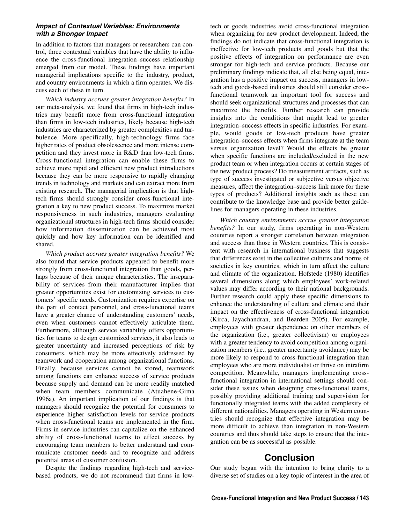#### **Impact of Contextual Variables: Environments with a Stronger Impact**

In addition to factors that managers or researchers can control, three contextual variables that have the ability to influence the cross-functional integration–success relationship emerged from our model. These findings have important managerial implications specific to the industry, product, and country environments in which a firm operates. We discuss each of these in turn.

*Which industry accrues greater integration benefits?* In our meta-analysis, we found that firms in high-tech industries may benefit more from cross-functional integration than firms in low-tech industries, likely because high-tech industries are characterized by greater complexities and turbulence. More specifically, high-technology firms face higher rates of product obsolescence and more intense competition and they invest more in R&D than low-tech firms. Cross-functional integration can enable these firms to achieve more rapid and efficient new product introductions because they can be more responsive to rapidly changing trends in technology and markets and can extract more from existing research. The managerial implication is that hightech firms should strongly consider cross-functional integration a key to new product success. To maximize market responsiveness in such industries, managers evaluating organizational structures in high-tech firms should consider how information dissemination can be achieved most quickly and how key information can be identified and shared.

*Which product accrues greater integration benefits?* We also found that service products appeared to benefit more strongly from cross-functional integration than goods, perhaps because of their unique characteristics. The inseparability of services from their manufacturer implies that greater opportunities exist for customizing services to customers' specific needs. Customization requires expertise on the part of contact personnel, and cross-functional teams have a greater chance of understanding customers' needs, even when customers cannot effectively articulate them. Furthermore, although service variability offers opportunities for teams to design customized services, it also leads to greater uncertainty and increased perceptions of risk by consumers, which may be more effectively addressed by teamwork and cooperation among organizational functions. Finally, because services cannot be stored, teamwork among functions can enhance success of service products because supply and demand can be more readily matched when team members communicate (Atuahene-Gima 1996a). An important implication of our findings is that managers should recognize the potential for consumers to experience higher satisfaction levels for service products when cross-functional teams are implemented in the firm. Firms in service industries can capitalize on the enhanced ability of cross-functional teams to effect success by encouraging team members to better understand and communicate customer needs and to recognize and address potential areas of customer confusion.

Despite the findings regarding high-tech and servicebased products, we do not recommend that firms in lowtech or goods industries avoid cross-functional integration when organizing for new product development. Indeed, the findings do not indicate that cross-functional integration is ineffective for low-tech products and goods but that the positive effects of integration on performance are even stronger for high-tech and service products. Because our preliminary findings indicate that, all else being equal, integration has a positive impact on success, managers in lowtech and goods-based industries should still consider crossfunctional teamwork an important tool for success and should seek organizational structures and processes that can maximize the benefits. Further research can provide insights into the conditions that might lead to greater integration–success effects in specific industries. For example, would goods or low-tech products have greater integration–success effects when firms integrate at the team versus organization level? Would the effects be greater when specific functions are included/excluded in the new product team or when integration occurs at certain stages of the new product process? Do measurement artifacts, such as type of success investigated or subjective versus objective measures, affect the integration–success link more for these types of products? Additional insights such as these can contribute to the knowledge base and provide better guidelines for managers operating in these industries.

*Which country environments accrue greater integration benefits?* In our study, firms operating in non-Western countries report a stronger correlation between integration and success than those in Western countries. This is consistent with research in international business that suggests that differences exist in the collective cultures and norms of societies in key countries, which in turn affect the culture and climate of the organization. Hofstede (1980) identifies several dimensions along which employees' work-related values may differ according to their national backgrounds. Further research could apply these specific dimensions to enhance the understanding of culture and climate and their impact on the effectiveness of cross-functional integration (Kirca, Jayachandran, and Bearden 2005). For example, employees with greater dependence on other members of the organization (i.e., greater collectivism) or employees with a greater tendency to avoid competition among organization members (i.e., greater uncertainty avoidance) may be more likely to respond to cross-functional integration than employees who are more individualist or thrive on intrafirm competition. Meanwhile, managers implementing crossfunctional integration in international settings should consider these issues when designing cross-functional teams, possibly providing additional training and supervision for functionally integrated teams with the added complexity of different nationalities. Managers operating in Western countries should recognize that effective integration may be more difficult to achieve than integration in non-Western countries and thus should take steps to ensure that the integration can be as successful as possible.

## **Conclusion**

Our study began with the intention to bring clarity to a diverse set of studies on a key topic of interest in the area of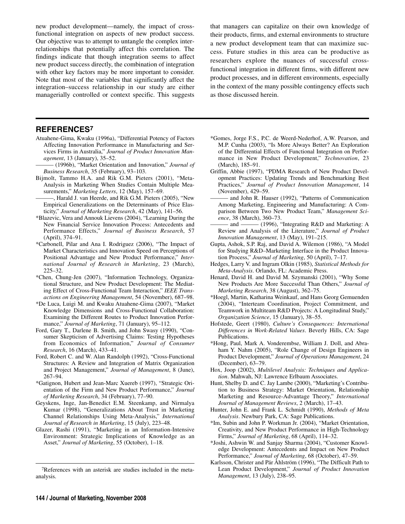new product development—namely, the impact of crossfunctional integration on aspects of new product success. Our objective was to attempt to untangle the complex interrelationships that potentially affect this correlation. The findings indicate that though integration seems to affect new product success directly, the combination of integration with other key factors may be more important to consider. Note that most of the variables that significantly affect the integration–success relationship in our study are either managerially controlled or context specific. This suggests

#### **REFERENCES7**

- Atuahene-Gima, Kwaku (1996a), "Differential Potency of Factors Affecting Innovation Performance in Manufacturing and Services Firms in Australia," *Journal of Product Innovation Management*, 13 (January), 35–52.
	- ——— (1996b), "Market Orientation and Innovation," *Journal of Business Research*, 35 (February), 93–103.
- Bijmolt, Tammo H.A. and Rik G.M. Pieters (2001), "Meta-Analysis in Marketing When Studies Contain Multiple Measurements," *Marketing Letters*, 12 (May), 157–69.
- ———, Harald J. van Heerde, and Rik G.M. Pieters (2005), "New Empirical Generalizations on the Determinants of Price Elasticity," *Journal of Marketing Research*, 42 (May), 141–56.
- \*Blazevic, Vera and Annouk Lievens (2004), "Learning During the New Financial Service Innovation Process: Antecedents and Performance Effects," *Journal of Business Research*, 57 (April), 374–91.
- \*Carbonell, Pilar and Ana I. Rodriguez (2006), "The Impact of Market Characteristics and Innovation Speed on Perceptions of Positional Advantage and New Product Performance," *International Journal of Research in Marketing*, 23 (March), 225–32.
- \*Chen, Chung-Jen (2007), "Information Technology, Organizational Structure, and New Product Development: The Mediating Effect of Cross-Functional Team Interaction," *IEEE Transactions on Engineering Management*, 54 (November), 687–98.
- \*De Luca, Luigi M. and Kwaku Atuahene-Gima (2007), "Market Knowledge Dimensions and Cross-Functional Collaboration: Examining the Different Routes to Product Innovation Performance," *Journal of Marketing*, 71 (January), 95–112.
- Ford, Gary T., Darlene B. Smith, and John Swasy (1990), "Consumer Skepticism of Advertising Claims: Testing Hypotheses from Economics of Information," *Journal of Consumer Research*, 16 (March), 433–41.
- Ford, Robert C. and W. Alan Randolph (1992), "Cross-Functional Structures: A Review and Integration of Matrix Organization and Project Management," *Journal of Management*, 8 (June), 267–94.
- \*Gatignon, Hubert and Jean-Marc Xuereb (1997), "Strategic Orientation of the Firm and New Product Performance," *Journal of Marketing Research*, 34 (February), 77–90.
- Geyskens, Inge, Jan-Benedict E.M. Steenkamp, and Nirmalya Kumar (1998), "Generalizations About Trust in Marketing Channel Relationships Using Meta-Analysis," *International Journal of Research in Marketing*, 15 (July), 223–48.
- Glazer, Rashi (1991), "Marketing in an Information-Intensive Environment: Strategic Implications of Knowledge as an Asset," *Journal of Marketing*, 55 (October), 1–18.

7References with an asterisk are studies included in the metaanalysis.

that managers can capitalize on their own knowledge of their products, firms, and external environments to structure a new product development team that can maximize success. Future studies in this area can be productive as researchers explore the nuances of successful crossfunctional integration in different firms, with different new product processes, and in different environments, especially in the context of the many possible contingency effects such as those discussed herein.

- \*Gomes, Jorge F.S., P.C. de Weerd-Nederhof, A.W. Pearson, and M.P. Cunha (2003), "Is More Always Better? An Exploration of the Differential Effects of Functional Integration on Performance in New Product Development," *Technovation*, 23 (March), 185–91.
- Griffin, Abbie (1997), "PDMA Research of New Product Development Practices: Updating Trends and Benchmarking Best Practices," *Journal of Product Innovation Management*, 14 (November), 429–59.
- and John R. Hauser (1992), "Patterns of Communication Among Marketing, Engineering and Manufacturing: A Comparison Between Two New Product Team," *Management Science*, 38 (March), 360–73.
- and ——— (1996), "Integrating R&D and Marketing: A Review and Analysis of the Literature," *Journal of Product Innovation Management*, 13 (May), 191–215.
- Gupta, Ashok, S.P. Raj, and David A. Wilemon (1986), "A Model for Studying R&D–Marketing Interface in the Product Innovation Process," *Journal of Marketing*, 50 (April), 7–17.
- Hedges, Larry V. and Ingram Olkin (1985), *Statistical Methods for Meta-Analysis*. Orlando, FL: Academic Press.
- Henard, David H. and David M. Szymanski (2001), "Why Some New Products Are More Successful Than Others," *Journal of Marketing Research*, 38 (August), 362–75.
- \*Hoegl, Martin, Katharina Weinkauf, and Hans Georg Gemuenden (2004), "Interteam Coordination, Project Commitment, and Teamwork in Multiteam R&D Projects: A Longitudinal Study," *Organization Science*, 15 (January), 38–55.
- Hofstede, Geert (1980), *Culture's Consequences: International Differences in Work-Related Values*. Beverly Hills, CA: Sage Publications.
- \*Hong, Paul, Mark A. Vonderembse, William J. Doll, and Abraham Y. Nahm (2005), "Role Change of Design Engineers in Product Development," *Journal of Operations Management*, 24 (December), 63–79.
- Hox, Joop (2002), *Multilevel Analysis: Techniques and Application*. Mahwah, NJ: Lawrence Erlbaum Associates.
- Hunt, Shelby D. and C. Jay Lambe (2000), "Marketing's Contribution to Business Strategy: Market Orientation, Relationship Marketing and Resource-Advantage Theory," *International Journal of Management Reviews*, 2 (March), 17–43.
- Hunter, John E. and Frank L. Schmidt (1990), *Methods of Meta Analysis*. Newbury Park, CA: Sage Publications.
- \*Im, Subin and John P. Workman Jr. (2004), "Market Orientation, Creativity, and New Product Performance in High-Technology Firms," *Journal of Marketing*, 68 (April), 114–32.
- \*Joshi, Ashwin W. and Sanjay Sharma (2004), "Customer Knowledge Development: Antecedents and Impact on New Product Performance," *Journal of Marketing*, 68 (October), 47–59.
- Karlsson, Christer and Pär Åhlström (1996), "The Difficult Path to Lean Product Development," *Journal of Product Innovation Management*, 13 (July), 238–95.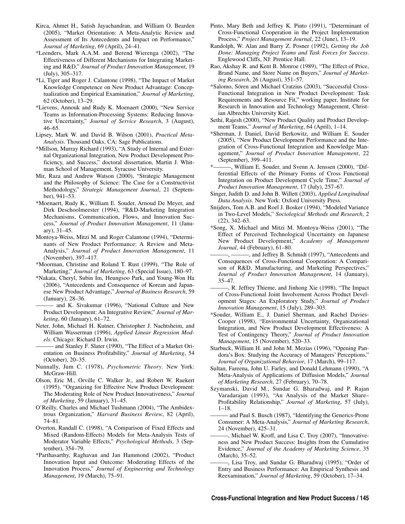- Kirca, Ahmet H., Satish Jayachandran, and William O. Bearden (2005), "Market Orientation: A Meta-Analytic Review and Assessment of Its Antecedents and Impact on Performance," *Journal of Marketing*, 69 (April), 24–41.
- \*Leenders, Mark A.A.M. and Berend Wierenga (2002), "The Effectiveness of Different Mechanisms for Integrating Marketing and R&D," *Journal of Product Innovation Management*, 19 (July), 305–317.
- \*Li, Tiger and Roger J. Calantone (1998), "The Impact of Market Knowledge Competence on New Product Advantage: Conceptualization and Empirical Examination," *Journal of Marketing*, 62 (October), 13–29.
- \*Lievens, Annouk and Rudy K. Moenaert (2000), "New Service Teams as Information-Processing Systems: Reducing Innovative Uncertainty," *Journal of Service Research*, 3 (August), 46–65.
- Lipsey, Mark W. and David B. Wilson (2001), *Practical Meta-Analysis*. Thousand Oaks, CA: Sage Publications.
- \*Millson, Murray Richard (1993), "A Study of Internal and External Organizational Integration, New Product Development Proficiency, and Success," doctoral dissertation, Martin J. Whitman School of Management, Syracuse University.
- Mir, Raza and Andrew Watson (2000), "Strategic Management and the Philosophy of Science: The Case for a Constructivist Methodology," *Strategic Management Journal*, 21 (September), 941–53.
- \*Moenaert, Rudy K., William E. Souder, Arnoud De Meyer, and Dirk Deschoolmeester (1994), "R&D-Marketing Integration Mechanisms, Communication, Flows, and Innovation Success," *Journal of Product Innovation Management*, 11 (January), 31–45.
- Montoya-Weiss, Mitzi M. and Roger Calantone (1994), "Determinants of New Product Performance: A Review and Meta-Analysis," *Journal of Product Innovation Management*, 11 (November), 397–417.
- \*Moorman, Christine and Roland T. Rust (1999), "The Role of Marketing," *Journal of Marketing*, 63 (Special Issue), 180–97.
- \*Nakata, Cheryl, Subin Im, Heungsoo Park, and Young-Won Ha (2006), "Antecedents and Consequence of Korean and Japanese New Product Advantage," *Journal of Business Research*, 59 (January), 28–36.
- and K. Sivakumar (1996), "National Culture and New Product Development: An Integrative Review," *Journal of Marketing*, 60 (January), 61–72.
- Neter, John, Michael H. Kutner, Christopher J. Nachtsheim, and William Wasserman (1996), *Applied Linear Regression Models*. Chicago: Richard D. Irwin.
	- and Stanley F. Slater (1990), "The Effect of a Market Orientation on Business Profitability," *Journal of Marketing*, 54 (October), 20–35.
- Nunnally, Jum C. (1978), *Psychometric Theory*. New York: McGraw-Hill.
- Olson, Eric M., Orville C. Walker Jr., and Robert W. Ruekert (1995), "Organizing for Effective New Product Development: The Moderating Role of New Product Innovativeness," *Journal of Marketing*, 59 (January), 31–45.
- O'Reilly, Charles and Michael Tushmann (2004), "The Ambidextrous Organization," *Harvard Business Review*, 82 (April), 74–81.
- Overton, Randall C. (1998), "A Comparison of Fixed Effects and Mixed (Random-Effects) Models for Meta-Analysis Tests of Moderator Variable Effects," *Psychological Methods*, 3 (September), 354–79.
- \*Parthasarthy, Raghavan and Jan Hammond (2002), "Product Innovation Input and Outcome: Moderating Effects of the Innovation Process," *Journal of Engineering and Technology Management*, 19 (March), 75–91.
- Pinto, Mary Beth and Jeffrey K. Pinto (1991), "Determinant of Cross-Functional Cooperation in the Project Implementation Process," *Project Management Journal*, 22 (June), 13–19.
- Randolph, W. Alan and Barry Z. Posner (1992), *Getting the Job Done: Managing Project Teams and Task Forces for Success*. Englewood Cliffs, NJ: Prentice Hall.
- Rao, Akshay R. and Kent B. Monroe (1989), "The Effect of Price, Brand Name, and Store Name on Buyers," *Journal of Marketing Research*, 26 (August), 351–57.
- \*Salomo, Sören and Michael Cratzius (2003), "Successful Cross-Functional Integration in New Product Development: Task Requirements and Resource Fit," working paper, Institute for Research in Innovation and Technology Management, Christian Albrechts University Kiel.
- Sethi, Rajesh (2000), "New Product Quality and Product Development Teams," *Journal of Marketing*, 64 (April), 1–14.
- \*Sherman, J. Daniel, David Berkowitz, and William E. Souder (2005), "New Product Development Performance and the Integration of Cross-Functional Integration and Knowledge Management," *Journal of Product Innovation Management*, 22 (September), 399–411.
- -, William E. Souder, and Svenn A. Jenssen (2000), "Differential Effects of the Primary Forms of Cross Functional Integration on Product Development Cycle Time," *Journal of Product Innovation Management*, 17 (July), 257–67.
- Singer, Judith D. and John B. Willett (2003), *Applied Longitudinal Data Analysis*. New York: Oxford University Press.
- Snijders, Tom A.B. and Roel J. Bosker (1994), "Modeled Variance in Two-Level Models," *Sociological Methods and Research*, 2 (22), 342–63.
- \*Song, X. Michael and Mitzi M. Montoya-Weiss (2001), "The Effect of Perceived Technological Uncertainty on Japanese New Product Development," *Academy of Management Journal*, 44 (February), 61–80.
- -, and Jeffrey B. Schmidt (1997), "Antecedents and Consequences of Cross-Functional Cooperation: A Comparison of R&D, Manufacturing, and Marketing Perspectives," *Journal of Product Innovation Management*, 14 (January), 35–47.
- ———, R. Jeffrey Thieme, and Jinhong Xie (1998), "The Impact of Cross-Functional Joint Involvement Across Product Development Stages: An Exploratory Study," *Journal of Product Innovation Management*, 15 (July), 289–303.
- \*Souder, William E., J. Daniel Sherman, and Rachel Davies-Cooper (1998), "Environmental Uncertainty, Organizational Integration, and New Product Development Effectiveness: A Test of Contingency Theory," *Journal of Product Innovation Management*, 15 (November), 520–33.
- Starbuck, William H. and John M. Mezias (1996), "Opening Pandora's Box: Studying the Accuracy of Managers' Perceptions," *Journal of Organizational Behavior*, 17 (March), 99–117.
- Sultan, Fareena, John U. Farley, and Donald Lehmann (1990), "A Meta-Analysis of Applications of Diffusion Models," *Journal of Marketing Research*, 27 (February), 70–78.
- Szymanski, David M., Sundar G. Bharadwaj, and P. Rajan Varadarajan (1993), "An Analysis of the Market Share– Profitability Relationship," *Journal of Marketing*, 57 (July), 1–18.
- and Paul S. Busch (1987), "Identifying the Generics-Prone Consumer: A Meta-Analysis," *Journal of Marketing Research*, 24 (November), 425–31.
- , Michael W. Kroff, and Lisa C. Troy (2007), "Innovativeness and New Product Success: Insights from the Cumulative Evidence," *Journal of the Academy of Marketing Science*, 35 (March), 35–52.
- -, Lisa Troy, and Sundar G. Bharadwaj (1995), "Order of Entry and Business Performance: An Empirical Synthesis and Reexamination," *Journal of Marketing*, 59 (October), 17–34.